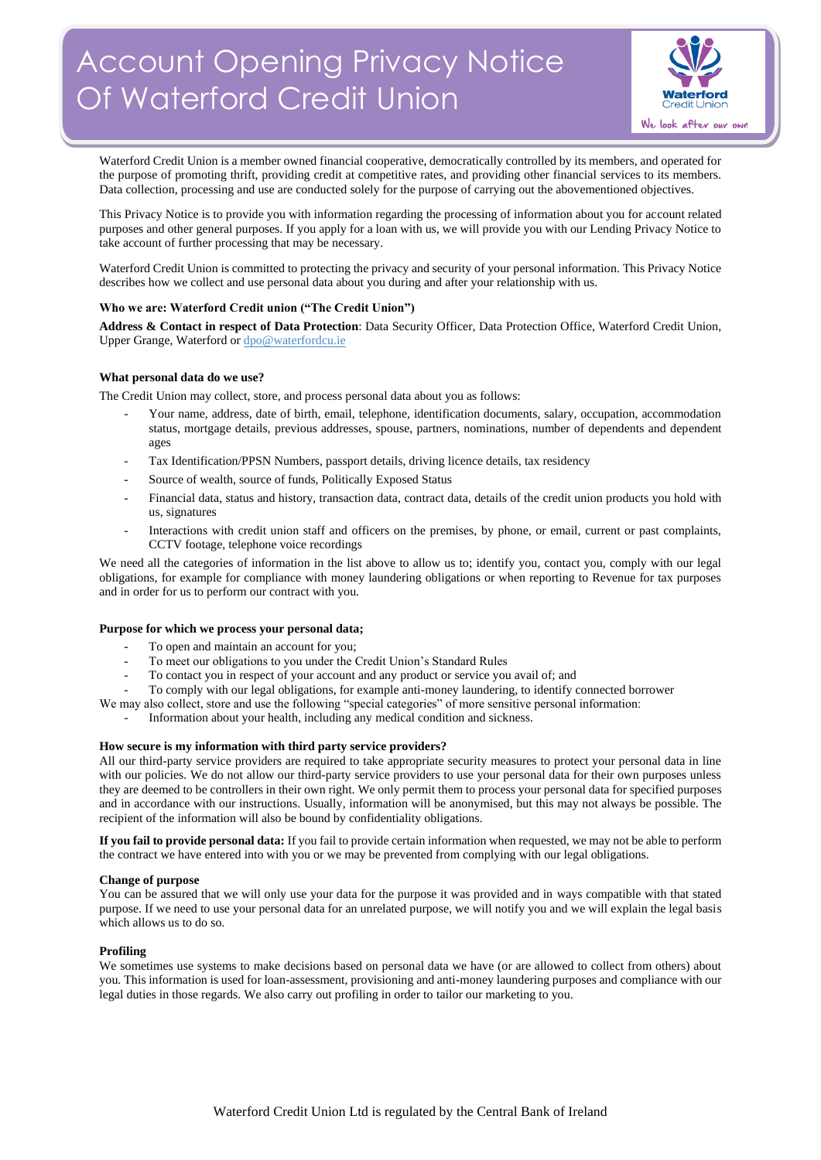# Account Opening Privacy Notice Of Waterford Credit Union



Waterford Credit Union is a member owned financial cooperative, democratically controlled by its members, and operated for the purpose of promoting thrift, providing credit at competitive rates, and providing other financial services to its members. Data collection, processing and use are conducted solely for the purpose of carrying out the abovementioned objectives.

This Privacy Notice is to provide you with information regarding the processing of information about you for account related purposes and other general purposes. If you apply for a loan with us, we will provide you with our Lending Privacy Notice to take account of further processing that may be necessary.

Waterford Credit Union is committed to protecting the privacy and security of your personal information. This Privacy Notice describes how we collect and use personal data about you during and after your relationship with us.

## **Who we are: Waterford Credit union ("The Credit Union")**

**Address & Contact in respect of Data Protection**: Data Security Officer, Data Protection Office, Waterford Credit Union, Upper Grange, Waterford o[r dpo@waterfordcu.ie](mailto:dpo@waterfordcu.ie)

## **What personal data do we use?**

The Credit Union may collect, store, and process personal data about you as follows:

- Your name, address, date of birth, email, telephone, identification documents, salary, occupation, accommodation status, mortgage details, previous addresses, spouse, partners, nominations, number of dependents and dependent ages
- Tax Identification/PPSN Numbers, passport details, driving licence details, tax residency
- Source of wealth, source of funds, Politically Exposed Status
- Financial data, status and history, transaction data, contract data, details of the credit union products you hold with us, signatures
- Interactions with credit union staff and officers on the premises, by phone, or email, current or past complaints, CCTV footage, telephone voice recordings

We need all the categories of information in the list above to allow us to; identify you, contact you, comply with our legal obligations, for example for compliance with money laundering obligations or when reporting to Revenue for tax purposes and in order for us to perform our contract with you.

## **Purpose for which we process your personal data;**

- To open and maintain an account for you:
- To meet our obligations to you under the Credit Union's Standard Rules
- To contact you in respect of your account and any product or service you avail of; and
- To comply with our legal obligations, for example anti-money laundering, to identify connected borrower

We may also collect, store and use the following "special categories" of more sensitive personal information:

- Information about your health, including any medical condition and sickness.

## **How secure is my information with third party service providers?**

All our third-party service providers are required to take appropriate security measures to protect your personal data in line with our policies. We do not allow our third-party service providers to use your personal data for their own purposes unless they are deemed to be controllers in their own right. We only permit them to process your personal data for specified purposes and in accordance with our instructions. Usually, information will be anonymised, but this may not always be possible. The recipient of the information will also be bound by confidentiality obligations.

**If you fail to provide personal data:** If you fail to provide certain information when requested, we may not be able to perform the contract we have entered into with you or we may be prevented from complying with our legal obligations.

## **Change of purpose**

You can be assured that we will only use your data for the purpose it was provided and in ways compatible with that stated purpose. If we need to use your personal data for an unrelated purpose, we will notify you and we will explain the legal basis which allows us to do so.

## **Profiling**

We sometimes use systems to make decisions based on personal data we have (or are allowed to collect from others) about you. This information is used for loan-assessment, provisioning and anti-money laundering purposes and compliance with our legal duties in those regards. We also carry out profiling in order to tailor our marketing to you.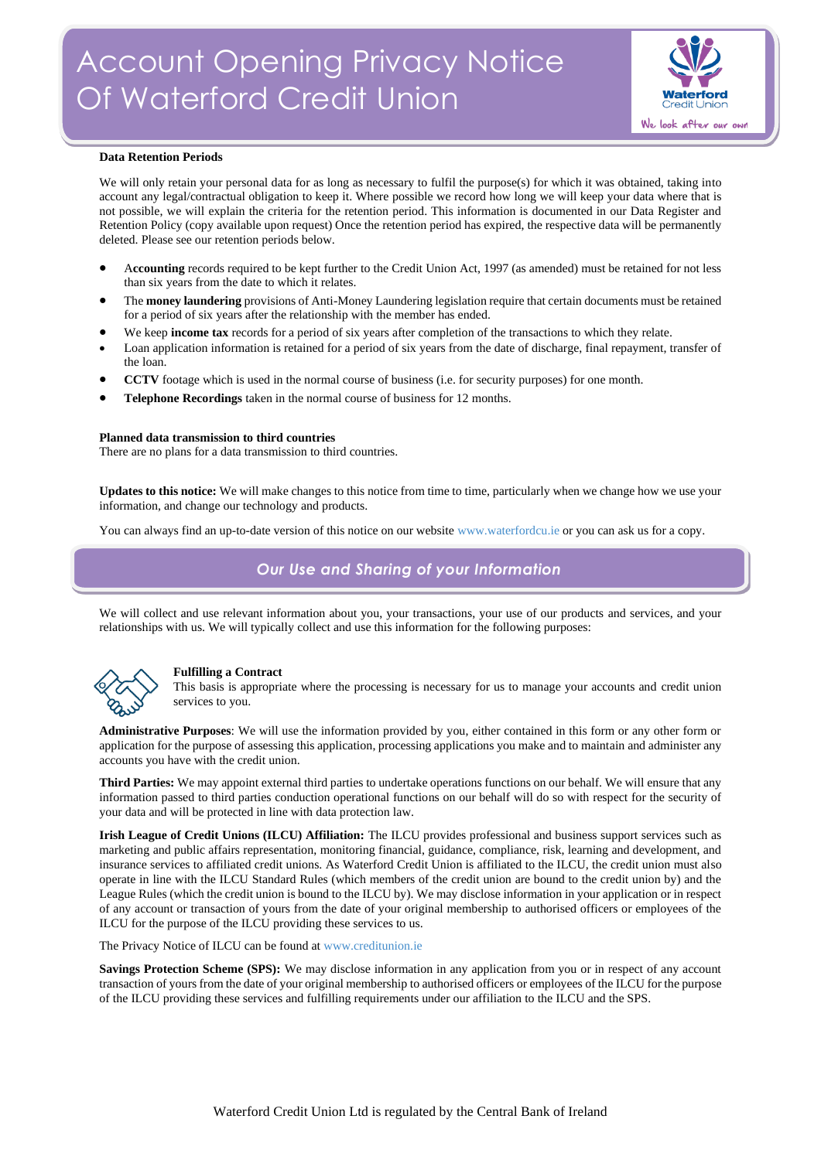

### **Data Retention Periods**

We will only retain your personal data for as long as necessary to fulfil the purpose(s) for which it was obtained, taking into account any legal/contractual obligation to keep it. Where possible we record how long we will keep your data where that is not possible, we will explain the criteria for the retention period. This information is documented in our Data Register and Retention Policy (copy available upon request) Once the retention period has expired, the respective data will be permanently deleted. Please see our retention periods below.

- A**ccounting** records required to be kept further to the Credit Union Act, 1997 (as amended) must be retained for not less than six years from the date to which it relates.
- The **money laundering** provisions of Anti-Money Laundering legislation require that certain documents must be retained for a period of six years after the relationship with the member has ended.
- We keep **income tax** records for a period of six years after completion of the transactions to which they relate.
- Loan application information is retained for a period of six years from the date of discharge, final repayment, transfer of the loan.
- **CCTV** footage which is used in the normal course of business (i.e. for security purposes) for one month.
- **Telephone Recordings** taken in the normal course of business for 12 months.

### **Planned data transmission to third countries**

There are no plans for a data transmission to third countries.

**Updates to this notice:** We will make changes to this notice from time to time, particularly when we change how we use your information, and change our technology and products.

You can always find an up-to-date version of this notice on our websit[e www.waterfordcu.ie](http://www.waterfordcu.ie/) or you can ask us for a copy.

## *Our Use and Sharing of your Information*

We will collect and use relevant information about you, your transactions, your use of our products and services, and your relationships with us. We will typically collect and use this information for the following purposes:



## **Fulfilling a Contract**

This basis is appropriate where the processing is necessary for us to manage your accounts and credit union services to you.

**Administrative Purposes**: We will use the information provided by you, either contained in this form or any other form or application for the purpose of assessing this application, processing applications you make and to maintain and administer any accounts you have with the credit union.

**Third Parties:** We may appoint external third parties to undertake operations functions on our behalf. We will ensure that any information passed to third parties conduction operational functions on our behalf will do so with respect for the security of your data and will be protected in line with data protection law.

**Irish League of Credit Unions (ILCU) Affiliation:** The ILCU provides professional and business support services such as marketing and public affairs representation, monitoring financial, guidance, compliance, risk, learning and development, and insurance services to affiliated credit unions. As Waterford Credit Union is affiliated to the ILCU, the credit union must also operate in line with the ILCU Standard Rules (which members of the credit union are bound to the credit union by) and the League Rules (which the credit union is bound to the ILCU by). We may disclose information in your application or in respect of any account or transaction of yours from the date of your original membership to authorised officers or employees of the ILCU for the purpose of the ILCU providing these services to us.

The Privacy Notice of ILCU can be found a[t www.creditunion.ie](http://www.creditunion.ie/)

**Savings Protection Scheme (SPS):** We may disclose information in any application from you or in respect of any account transaction of yours from the date of your original membership to authorised officers or employees of the ILCU for the purpose of the ILCU providing these services and fulfilling requirements under our affiliation to the ILCU and the SPS.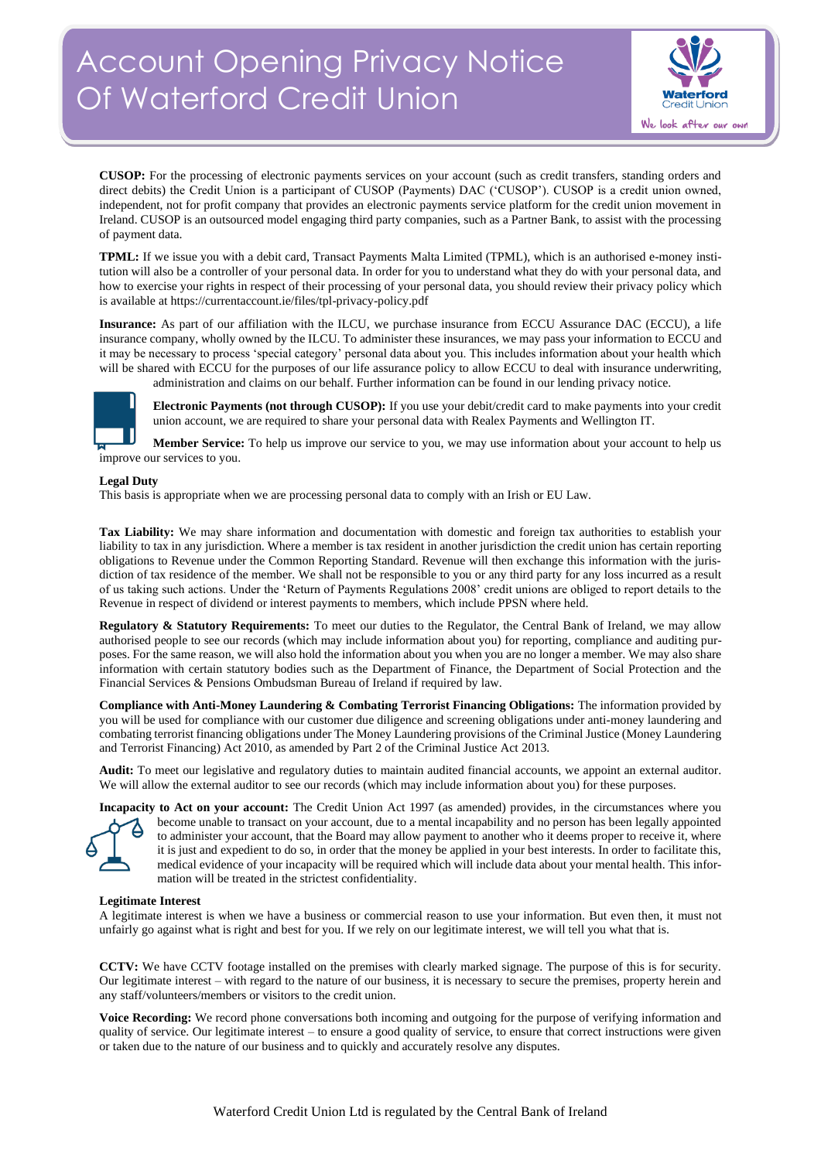# Account Opening Privacy Notice Of Waterford Credit Union



**CUSOP:** For the processing of electronic payments services on your account (such as credit transfers, standing orders and direct debits) the Credit Union is a participant of CUSOP (Payments) DAC ('CUSOP'). CUSOP is a credit union owned, independent, not for profit company that provides an electronic payments service platform for the credit union movement in Ireland. CUSOP is an outsourced model engaging third party companies, such as a Partner Bank, to assist with the processing of payment data.

**TPML:** If we issue you with a debit card, Transact Payments Malta Limited (TPML), which is an authorised e-money institution will also be a controller of your personal data. In order for you to understand what they do with your personal data, and how to exercise your rights in respect of their processing of your personal data, you should review their privacy policy which is available at https://currentaccount.ie/files/tpl-privacy-policy.pdf

**Insurance:** As part of our affiliation with the ILCU, we purchase insurance from ECCU Assurance DAC (ECCU), a life insurance company, wholly owned by the ILCU. To administer these insurances, we may pass your information to ECCU and it may be necessary to process 'special category' personal data about you. This includes information about your health which will be shared with ECCU for the purposes of our life assurance policy to allow ECCU to deal with insurance underwriting, administration and claims on our behalf. Further information can be found in our lending privacy notice.



**Electronic Payments (not through CUSOP):** If you use your debit/credit card to make payments into your credit union account, we are required to share your personal data with Realex Payments and Wellington IT.

**Member Service:** To help us improve our service to you, we may use information about your account to help us improve our services to you.

#### **Legal Duty**

This basis is appropriate when we are processing personal data to comply with an Irish or EU Law.

**Tax Liability:** We may share information and documentation with domestic and foreign tax authorities to establish your liability to tax in any jurisdiction. Where a member is tax resident in another jurisdiction the credit union has certain reporting obligations to Revenue under the Common Reporting Standard. Revenue will then exchange this information with the jurisdiction of tax residence of the member. We shall not be responsible to you or any third party for any loss incurred as a result of us taking such actions. Under the 'Return of Payments Regulations 2008' credit unions are obliged to report details to the Revenue in respect of dividend or interest payments to members, which include PPSN where held.

**Regulatory & Statutory Requirements:** To meet our duties to the Regulator, the Central Bank of Ireland, we may allow authorised people to see our records (which may include information about you) for reporting, compliance and auditing purposes. For the same reason, we will also hold the information about you when you are no longer a member. We may also share information with certain statutory bodies such as the Department of Finance, the Department of Social Protection and the Financial Services & Pensions Ombudsman Bureau of Ireland if required by law.

**Compliance with Anti-Money Laundering & Combating Terrorist Financing Obligations:** The information provided by you will be used for compliance with our customer due diligence and screening obligations under anti-money laundering and combating terrorist financing obligations under The Money Laundering provisions of the Criminal Justice (Money Laundering and Terrorist Financing) Act 2010, as amended by Part 2 of the Criminal Justice Act 2013.

**Audit:** To meet our legislative and regulatory duties to maintain audited financial accounts, we appoint an external auditor. We will allow the external auditor to see our records (which may include information about you) for these purposes.



**Incapacity to Act on your account:** The Credit Union Act 1997 (as amended) provides, in the circumstances where you become unable to transact on your account, due to a mental incapability and no person has been legally appointed to administer your account, that the Board may allow payment to another who it deems proper to receive it, where it is just and expedient to do so, in order that the money be applied in your best interests. In order to facilitate this, medical evidence of your incapacity will be required which will include data about your mental health. This information will be treated in the strictest confidentiality.

## **Legitimate Interest**

A legitimate interest is when we have a business or commercial reason to use your information. But even then, it must not unfairly go against what is right and best for you. If we rely on our legitimate interest, we will tell you what that is.

**CCTV:** We have CCTV footage installed on the premises with clearly marked signage. The purpose of this is for security. Our legitimate interest – with regard to the nature of our business, it is necessary to secure the premises, property herein and any staff/volunteers/members or visitors to the credit union.

**Voice Recording:** We record phone conversations both incoming and outgoing for the purpose of verifying information and quality of service. Our legitimate interest – to ensure a good quality of service, to ensure that correct instructions were given or taken due to the nature of our business and to quickly and accurately resolve any disputes.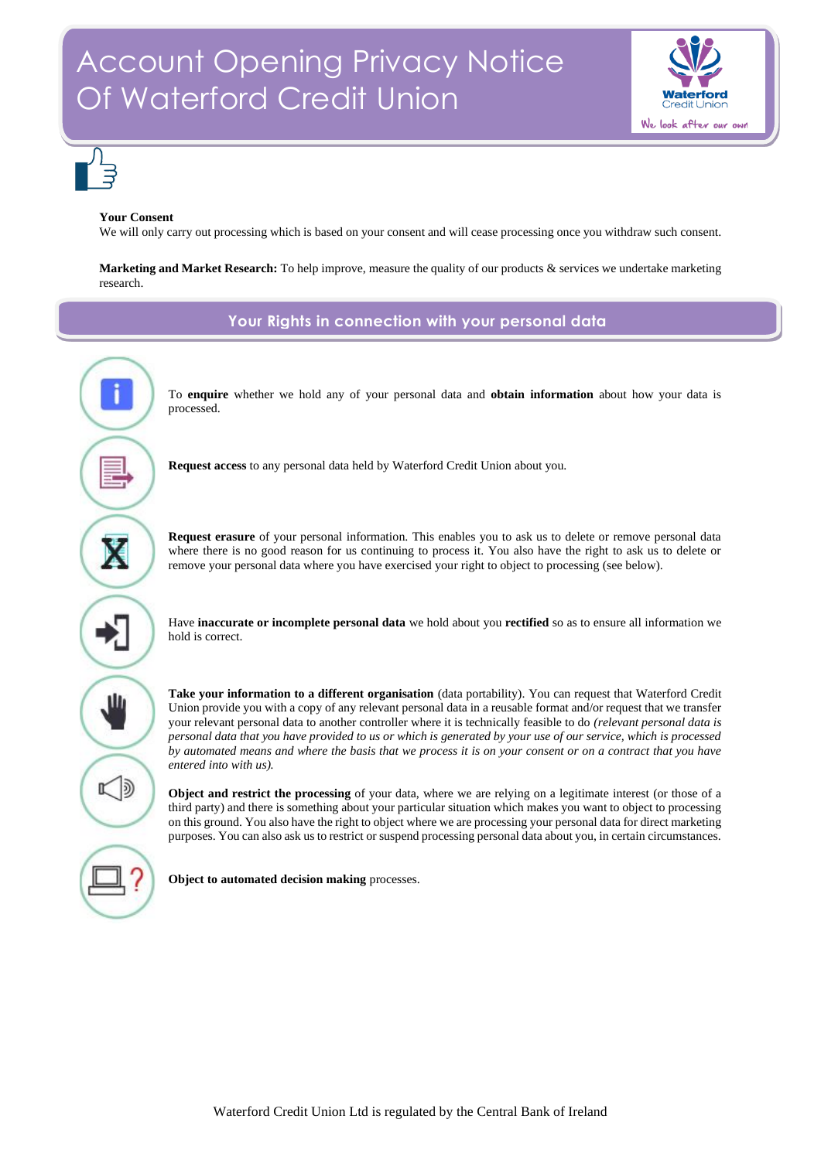



## **Your Consent**

We will only carry out processing which is based on your consent and will cease processing once you withdraw such consent.

**Marketing and Market Research:** To help improve, measure the quality of our products & services we undertake marketing research.

**Your Rights in connection with your personal data**



To **enquire** whether we hold any of your personal data and **obtain information** about how your data is processed.

**Request access** to any personal data held by Waterford Credit Union about you.

**Request erasure** of your personal information. This enables you to ask us to delete or remove personal data where there is no good reason for us continuing to process it. You also have the right to ask us to delete or remove your personal data where you have exercised your right to object to processing (see below).

Have **inaccurate or incomplete personal data** we hold about you **rectified** so as to ensure all information we hold is correct.

**Take your information to a different organisation** (data portability). You can request that Waterford Credit Union provide you with a copy of any relevant personal data in a reusable format and/or request that we transfer your relevant personal data to another controller where it is technically feasible to do *(relevant personal data is personal data that you have provided to us or which is generated by your use of our service, which is processed by automated means and where the basis that we process it is on your consent or on a contract that you have entered into with us).*

**Object and restrict the processing** of your data, where we are relying on a legitimate interest (or those of a third party) and there is something about your particular situation which makes you want to object to processing on this ground. You also have the right to object where we are processing your personal data for direct marketing purposes. You can also ask us to restrict or suspend processing personal data about you, in certain circumstances.

**Object to automated decision making** processes.